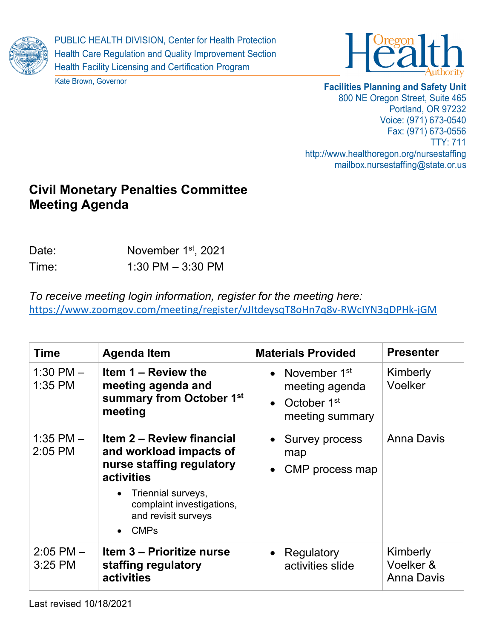

PUBLIC HEALTH DIVISION, Center for Health Protection Health Care Regulation and Quality Improvement Section Health Facility Licensing and Certification Program





## **Facilities Planning and Safety Unit**

800 NE Oregon Street, Suite 465 Portland, OR 97232 Voice: (971) 673-0540 Fax: (971) 673-0556 TTY: 711 http://www.healthoregon.org/nursestaffing mailbox.nursestaffing@state.or.us

# **Civil Monetary Penalties Committee Meeting Agenda**

| Date: | November 1 <sup>st</sup> , 2021 |
|-------|---------------------------------|
| Time: | 1:30 PM $-$ 3:30 PM             |

*To receive meeting login information, register for the meeting here:* <https://www.zoomgov.com/meeting/register/vJItdeysqT8oHn7q8v-RWcIYN3qDPHk-jGM>

| <b>Time</b>                | <b>Agenda Item</b>                                                                                                                                                                                                    | <b>Materials Provided</b>                                                        | <b>Presenter</b>                           |
|----------------------------|-----------------------------------------------------------------------------------------------------------------------------------------------------------------------------------------------------------------------|----------------------------------------------------------------------------------|--------------------------------------------|
| 1:30 PM $-$<br>1:35 PM     | Item 1 – Review the<br>meeting agenda and<br>summary from October 1st<br>meeting                                                                                                                                      | • November $1st$<br>meeting agenda<br>October 1 <sup>st</sup><br>meeting summary | Kimberly<br>Voelker                        |
| 1:35 PM $-$<br>2:05 PM     | <b>Item 2 – Review financial</b><br>and workload impacts of<br>nurse staffing regulatory<br><b>activities</b><br>• Triennial surveys,<br>complaint investigations,<br>and revisit surveys<br><b>CMPs</b><br>$\bullet$ | • Survey process<br>map<br>CMP process map<br>$\bullet$                          | Anna Davis                                 |
| $2:05$ PM $-$<br>$3:25$ PM | Item 3 - Prioritize nurse<br>staffing regulatory<br>activities                                                                                                                                                        | Regulatory<br>activities slide                                                   | Kimberly<br>Voelker &<br><b>Anna Davis</b> |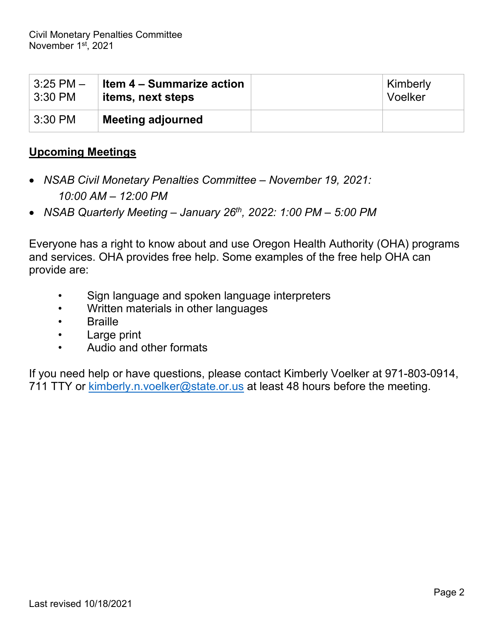| $3:25$ PM $-$ | Item 4 – Summarize action | Kimberly |
|---------------|---------------------------|----------|
| $\pm$ 3:30 PM | items, next steps         | Voelker  |
| $3:30$ PM     | <b>Meeting adjourned</b>  |          |

# **Upcoming Meetings**

- *NSAB Civil Monetary Penalties Committee – November 19, 2021: 10:00 AM – 12:00 PM*
- *NSAB Quarterly Meeting – January 26th, 2022: 1:00 PM – 5:00 PM*

Everyone has a right to know about and use Oregon Health Authority (OHA) programs and services. OHA provides free help. Some examples of the free help OHA can provide are:

- Sign language and spoken language interpreters
- Written materials in other languages
- Braille
- Large print
- Audio and other formats

If you need help or have questions, please contact Kimberly Voelker at 971-803-0914, 711 TTY or [kimberly.n.voelker@state.or.us](mailto:kimberly.n.voelker@state.or.us) at least 48 hours before the meeting.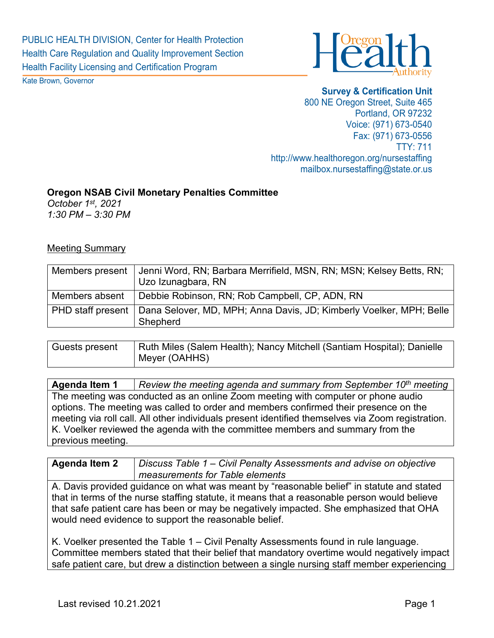

Kate Brown, Governor

**Survey & Certification Unit** 800 NE Oregon Street, Suite 465 Portland, OR 97232 Voice: (971) 673-0540 Fax: (971) 673-0556 TTY: 711 http://www.healthoregon.org/nursestaffing mailbox.nursestaffing@state.or.us

#### **Oregon NSAB Civil Monetary Penalties Committee**

*October 1st, 2021 1:30 PM – 3:30 PM*

#### Meeting Summary

| Members present | Jenni Word, RN; Barbara Merrifield, MSN, RN; MSN; Kelsey Betts, RN;<br>Uzo Izunagbara, RN           |
|-----------------|-----------------------------------------------------------------------------------------------------|
| Members absent  | Debbie Robinson, RN; Rob Campbell, CP, ADN, RN                                                      |
|                 | PHD staff present   Dana Selover, MD, MPH; Anna Davis, JD; Kimberly Voelker, MPH; Belle<br>Shepherd |

| Guests present | Ruth Miles (Salem Health); Nancy Mitchell (Santiam Hospital); Danielle |
|----------------|------------------------------------------------------------------------|
|                | Meyer (OAHHS)                                                          |

**Agenda Item 1** *Review the meeting agenda and summary from September 10th meeting* The meeting was conducted as an online Zoom meeting with computer or phone audio options. The meeting was called to order and members confirmed their presence on the meeting via roll call. All other individuals present identified themselves via Zoom registration. K. Voelker reviewed the agenda with the committee members and summary from the previous meeting.

**Agenda Item 2** *Discuss Table 1 – Civil Penalty Assessments and advise on objective measurements for Table elements*

A. Davis provided guidance on what was meant by "reasonable belief" in statute and stated that in terms of the nurse staffing statute, it means that a reasonable person would believe that safe patient care has been or may be negatively impacted. She emphasized that OHA would need evidence to support the reasonable belief.

K. Voelker presented the Table 1 – Civil Penalty Assessments found in rule language. Committee members stated that their belief that mandatory overtime would negatively impact safe patient care, but drew a distinction between a single nursing staff member experiencing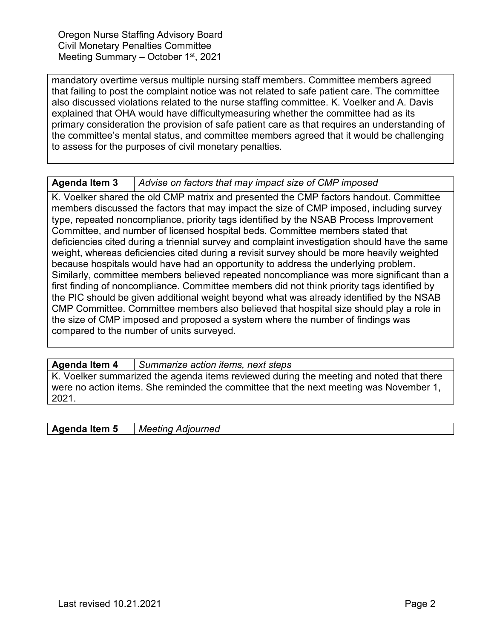Oregon Nurse Staffing Advisory Board Civil Monetary Penalties Committee Meeting Summary – October 1<sup>st</sup>, 2021

mandatory overtime versus multiple nursing staff members. Committee members agreed that failing to post the complaint notice was not related to safe patient care. The committee also discussed violations related to the nurse staffing committee. K. Voelker and A. Davis explained that OHA would have difficultymeasuring whether the committee had as its primary consideration the provision of safe patient care as that requires an understanding of the committee's mental status, and committee members agreed that it would be challenging to assess for the purposes of civil monetary penalties.

### **Agenda Item 3** *Advise on factors that may impact size of CMP imposed*

K. Voelker shared the old CMP matrix and presented the CMP factors handout. Committee members discussed the factors that may impact the size of CMP imposed, including survey type, repeated noncompliance, priority tags identified by the NSAB Process Improvement Committee, and number of licensed hospital beds. Committee members stated that deficiencies cited during a triennial survey and complaint investigation should have the same weight, whereas deficiencies cited during a revisit survey should be more heavily weighted because hospitals would have had an opportunity to address the underlying problem. Similarly, committee members believed repeated noncompliance was more significant than a first finding of noncompliance. Committee members did not think priority tags identified by the PIC should be given additional weight beyond what was already identified by the NSAB CMP Committee. Committee members also believed that hospital size should play a role in the size of CMP imposed and proposed a system where the number of findings was compared to the number of units surveyed.

**Agenda Item 4** *Summarize action items, next steps*

K. Voelker summarized the agenda items reviewed during the meeting and noted that there were no action items. She reminded the committee that the next meeting was November 1, 2021.

**Agenda Item 5** *Meeting Adjourned*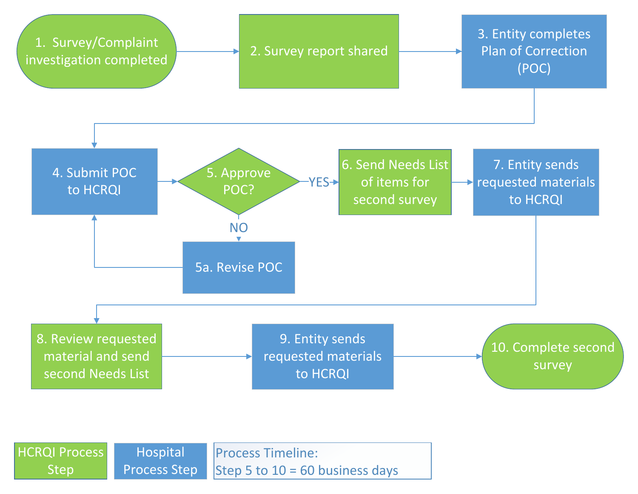